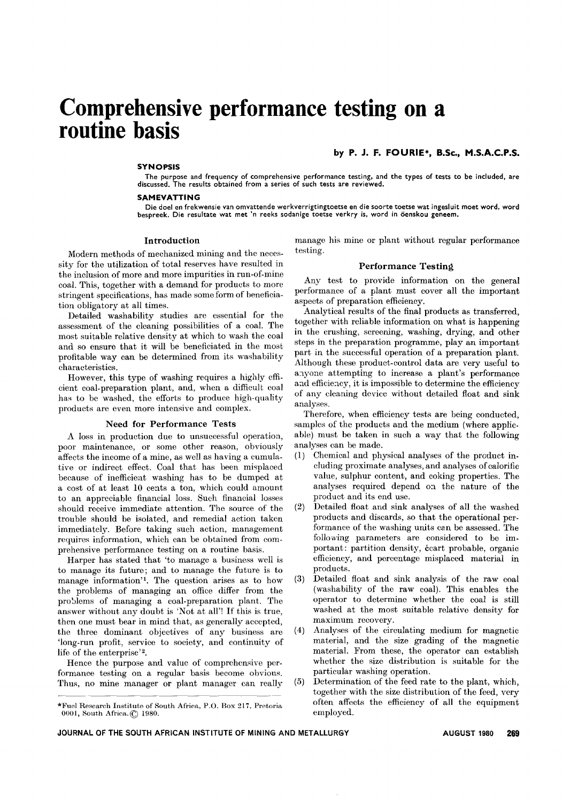# **Comprehensive performance testing on a routine basis**

#### **SYNOPSIS**

SYNOPSIS<br>The purpose and frequency of comprehensive performance testing, and the types of tests to be included, are<br>discussed. The results obtained from a series of such tests are reviewed.

#### SAMEVATTING

Die doel en frekwensie van omvattende werkverrigtingtoetse en die soorte toetse wat ingesluit moet word, word bespreek. Die resultate wat met 'n reeks sodanige toetse verkry is, word in öenskou geneem.

# Introduction

Modern methods of mechanized mining and the necessity for the utilization of total reserves have resulted in the inclusion of more and more impurities in run-of-mine coal. This, together with a demand for products to more stringent specifications, has made some form of beneficiation obligatory at all times.

Detailed washability studies are essential for the assessment of the cleaning possibilities of a coal. The most suitable relative density at which to wash the coal and so ensure that it will be beneficiated in the most profitable way can be determined from its washability characteristics.

However, this type of washing requires a highly efficient coal-preparation plant, and, when a difficult coal has to be washed, the efforts to produce high-quality products are even more intensive and complex.

### Need for Performance Tests

A loss in production due to unsuccessful operation, poor maintenance, or some other reason, obviously affects the income of a mine, as well as having a cumulative or indirect effect. Coal that has been misplaced because of inefficient washing has to be dumped at a cost of at least 10 cents a ton, which could amount to an appreciable financial loss. Such financial losses should receive immediate attention. The source of the trouble should be isolated, and remedial action taken immediately. Before taking such action, management requires information, which can be obtained from comprehensive performance testing on a routine basis.

Harper has stated that 'to manage a business well is to manage its future; and to manage the future is to manage information'!. The question arises as to how the problems of managing an office differ from the problems of managing a coal-preparation plant. The answer without any doubt is 'Not at all'! If this is true, then one must bear in mind that, as generally accepted, the three dominant objectives of any business are 'long-run profit, service to society, and continuity of life of the enterprise'2.

Hence the purpose and value of comprehensive performance testing on a regular basis become obvious. Thus, no mine manager or plant manager can really

--\_.----

# by P. J. F. FOURIE\*, B.Sc., M.S.A.C.P.S.

manage his mine or plant without regular performance testing.

## Performance Testing

Any test to provide information on the general performance of a plant must cover all the important aspects of preparation efficiency.

Analytical results of the final products as transferred, together with reliable information on what is happening in the crushing, screening, washing, drying, and other steps in the preparation programme, play an important part in the successful operation of a preparation plant. Although these product-control data are very useful to anyone attempting to increase a plant's performance and efficiency, it is impossible to determine the efficiency of any cleaning device without detailed float and sink analyses.

Therefore, when efficiency tests are being conducted, samples of the products and the medium (where applicable) must be taken in such a way that the following analyses can be made.

- (1) Chemical and physical analyses of the product including proximate analyses, and analyses of calorific value, sulphur content, and coking properties. The analyses required depend on the nature of the product and its end use.
- (2) Detailed float and sink analyses of all the washed products and discards, so that the operational performance of the washing units can be assessed. The following parameters are considered to be important: partition density, ecart probable, organic efficiency, and percentage misplaced material in products.
- (3) Detailed float and sink analysis of the raw coal (washability of the raw coal). This enables the operator to determine whether the coal is still washed at the most suitable relative density for maximum recovery.
- (4) Analyses of the circulating medium for magnetic material, and the size grading of the magnetic material. From these, the operator can establish whether the size distribution is suitable for the particular washing operation.
- (5) Determination of the feed rate to the plant, which, together with the size distribution of the feed, very often affects the efficiency of all the equipment employed.

<sup>\*</sup>Fue1 Research Institute of South Africa, P.O. Box 217, Pretoria 0001, South Africa. ( $\hat{C}$ ) 1980.